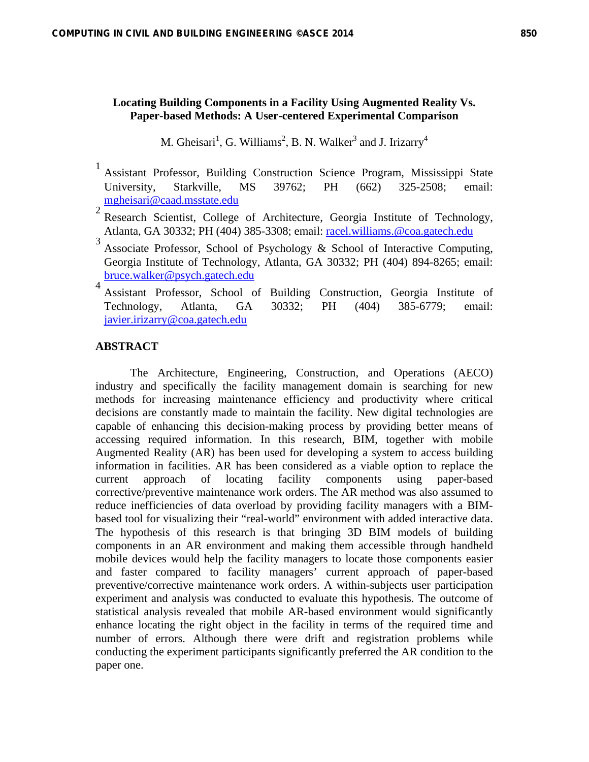## **Locating Building Components in a Facility Using Augmented Reality Vs. Paper-based Methods: A User-centered Experimental Comparison**

M. Gheisari<sup>1</sup>, G. Williams<sup>2</sup>, B. N. Walker<sup>3</sup> and J. Irizarry<sup>4</sup>

1 Assistant Professor, Building Construction Science Program, Mississippi State University, Starkville, MS 39762; PH (662) 325-2508; email: mgheisari@caad.msstate.edu 2 2 2 Research Scientist, College of Architecture, Georgia Institute of Technology,

Atlanta, GA 30332; PH (404) 385-3308; email: racel.williams.@coa.gatech.edu

<sup>3</sup> Associate Professor, School of Psychology & School of Interactive Computing, Georgia Institute of Technology, Atlanta, GA 30332; PH (404) 894-8265; email: bruce.walker@psych.gatech.edu

4 Assistant Professor, School of Building Construction, Georgia Institute of Technology, Atlanta, GA 30332; PH (404) 385-6779; email: javier.irizarry@coa.gatech.edu

# **ABSTRACT**

The Architecture, Engineering, Construction, and Operations (AECO) industry and specifically the facility management domain is searching for new methods for increasing maintenance efficiency and productivity where critical decisions are constantly made to maintain the facility. New digital technologies are capable of enhancing this decision-making process by providing better means of accessing required information. In this research, BIM, together with mobile Augmented Reality (AR) has been used for developing a system to access building information in facilities. AR has been considered as a viable option to replace the current approach of locating facility components using paper-based corrective/preventive maintenance work orders. The AR method was also assumed to reduce inefficiencies of data overload by providing facility managers with a BIMbased tool for visualizing their "real-world" environment with added interactive data. The hypothesis of this research is that bringing 3D BIM models of building components in an AR environment and making them accessible through handheld mobile devices would help the facility managers to locate those components easier and faster compared to facility managers' current approach of paper-based preventive/corrective maintenance work orders. A within-subjects user participation experiment and analysis was conducted to evaluate this hypothesis. The outcome of statistical analysis revealed that mobile AR-based environment would significantly enhance locating the right object in the facility in terms of the required time and number of errors. Although there were drift and registration problems while conducting the experiment participants significantly preferred the AR condition to the paper one.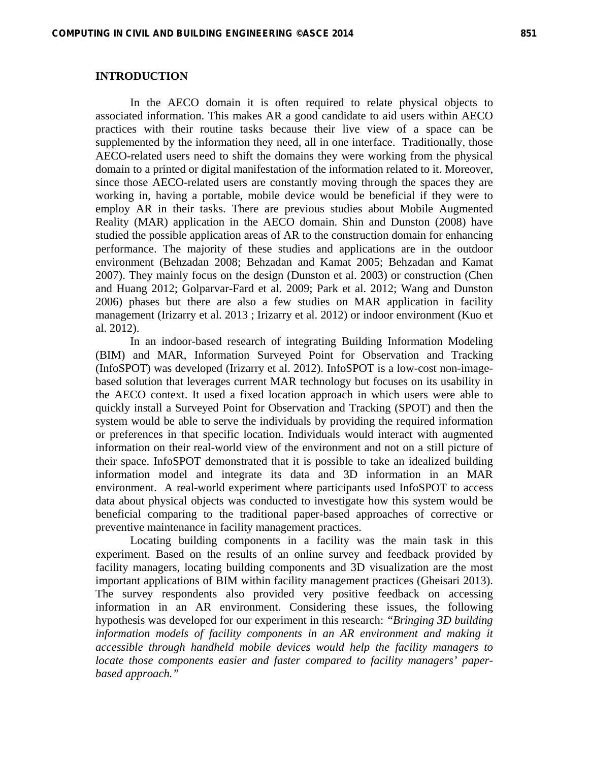## **INTRODUCTION**

In the AECO domain it is often required to relate physical objects to associated information. This makes AR a good candidate to aid users within AECO practices with their routine tasks because their live view of a space can be supplemented by the information they need, all in one interface. Traditionally, those AECO-related users need to shift the domains they were working from the physical domain to a printed or digital manifestation of the information related to it. Moreover, since those AECO-related users are constantly moving through the spaces they are working in, having a portable, mobile device would be beneficial if they were to employ AR in their tasks. There are previous studies about Mobile Augmented Reality (MAR) application in the AECO domain. Shin and Dunston (2008) have studied the possible application areas of AR to the construction domain for enhancing performance. The majority of these studies and applications are in the outdoor environment (Behzadan 2008; Behzadan and Kamat 2005; Behzadan and Kamat 2007). They mainly focus on the design (Dunston et al. 2003) or construction (Chen and Huang 2012; Golparvar-Fard et al. 2009; Park et al. 2012; Wang and Dunston 2006) phases but there are also a few studies on MAR application in facility management (Irizarry et al. 2013 ; Irizarry et al. 2012) or indoor environment (Kuo et al. 2012).

In an indoor-based research of integrating Building Information Modeling (BIM) and MAR, Information Surveyed Point for Observation and Tracking (InfoSPOT) was developed (Irizarry et al. 2012). InfoSPOT is a low-cost non-imagebased solution that leverages current MAR technology but focuses on its usability in the AECO context. It used a fixed location approach in which users were able to quickly install a Surveyed Point for Observation and Tracking (SPOT) and then the system would be able to serve the individuals by providing the required information or preferences in that specific location. Individuals would interact with augmented information on their real-world view of the environment and not on a still picture of their space. InfoSPOT demonstrated that it is possible to take an idealized building information model and integrate its data and 3D information in an MAR environment. A real-world experiment where participants used InfoSPOT to access data about physical objects was conducted to investigate how this system would be beneficial comparing to the traditional paper-based approaches of corrective or preventive maintenance in facility management practices.

Locating building components in a facility was the main task in this experiment. Based on the results of an online survey and feedback provided by facility managers, locating building components and 3D visualization are the most important applications of BIM within facility management practices (Gheisari 2013). The survey respondents also provided very positive feedback on accessing information in an AR environment. Considering these issues, the following hypothesis was developed for our experiment in this research: *"Bringing 3D building information models of facility components in an AR environment and making it accessible through handheld mobile devices would help the facility managers to locate those components easier and faster compared to facility managers' paperbased approach."*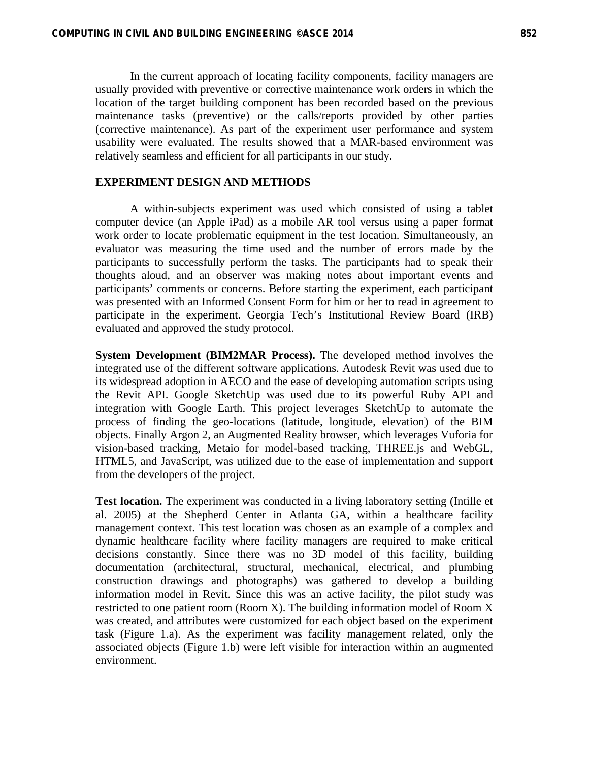In the current approach of locating facility components, facility managers are usually provided with preventive or corrective maintenance work orders in which the location of the target building component has been recorded based on the previous maintenance tasks (preventive) or the calls/reports provided by other parties (corrective maintenance). As part of the experiment user performance and system usability were evaluated. The results showed that a MAR-based environment was relatively seamless and efficient for all participants in our study.

## **EXPERIMENT DESIGN AND METHODS**

A within-subjects experiment was used which consisted of using a tablet computer device (an Apple iPad) as a mobile AR tool versus using a paper format work order to locate problematic equipment in the test location. Simultaneously, an evaluator was measuring the time used and the number of errors made by the participants to successfully perform the tasks. The participants had to speak their thoughts aloud, and an observer was making notes about important events and participants' comments or concerns. Before starting the experiment, each participant was presented with an Informed Consent Form for him or her to read in agreement to participate in the experiment. Georgia Tech's Institutional Review Board (IRB) evaluated and approved the study protocol.

**System Development (BIM2MAR Process).** The developed method involves the integrated use of the different software applications. Autodesk Revit was used due to its widespread adoption in AECO and the ease of developing automation scripts using the Revit API. Google SketchUp was used due to its powerful Ruby API and integration with Google Earth. This project leverages SketchUp to automate the process of finding the geo-locations (latitude, longitude, elevation) of the BIM objects. Finally Argon 2, an Augmented Reality browser, which leverages Vuforia for vision-based tracking, Metaio for model-based tracking, THREE.js and WebGL, HTML5, and JavaScript, was utilized due to the ease of implementation and support from the developers of the project.

**Test location.** The experiment was conducted in a living laboratory setting (Intille et al. 2005) at the Shepherd Center in Atlanta GA, within a healthcare facility management context. This test location was chosen as an example of a complex and dynamic healthcare facility where facility managers are required to make critical decisions constantly. Since there was no 3D model of this facility, building documentation (architectural, structural, mechanical, electrical, and plumbing construction drawings and photographs) was gathered to develop a building information model in Revit. Since this was an active facility, the pilot study was restricted to one patient room (Room X). The building information model of Room X was created, and attributes were customized for each object based on the experiment task (Figure 1.a). As the experiment was facility management related, only the associated objects (Figure 1.b) were left visible for interaction within an augmented environment.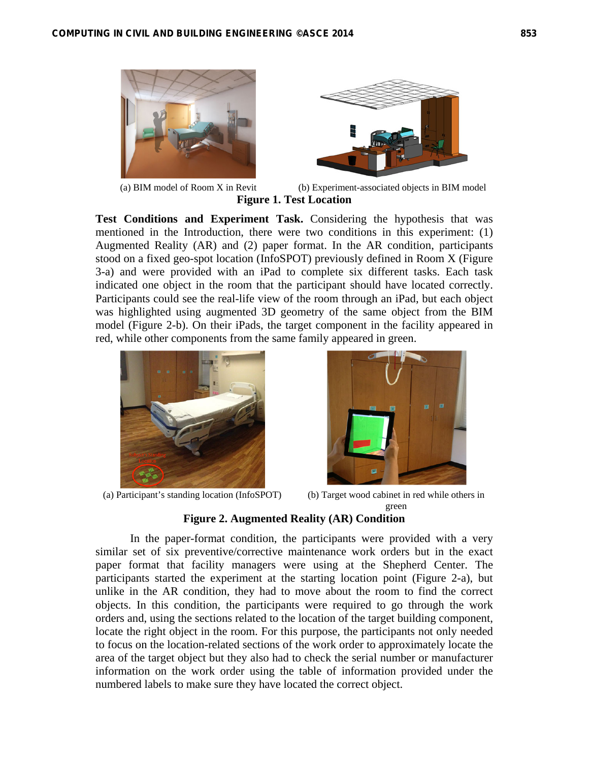



(a) BIM model of Room X in Revit (b) Experiment-associated objects in BIM model **Figure 1. Test Location** 

**Test Conditions and Experiment Task.** Considering the hypothesis that was mentioned in the Introduction, there were two conditions in this experiment: (1) Augmented Reality (AR) and (2) paper format. In the AR condition, participants stood on a fixed geo-spot location (InfoSPOT) previously defined in Room X (Figure 3-a) and were provided with an iPad to complete six different tasks. Each task indicated one object in the room that the participant should have located correctly. Participants could see the real-life view of the room through an iPad, but each object was highlighted using augmented 3D geometry of the same object from the BIM model (Figure 2-b). On their iPads, the target component in the facility appeared in red, while other components from the same family appeared in green.



(a) Participant's standing location (InfoSPOT) (b) Target wood cabinet in red while others in



green

# **Figure 2. Augmented Reality (AR) Condition**

In the paper-format condition, the participants were provided with a very similar set of six preventive/corrective maintenance work orders but in the exact paper format that facility managers were using at the Shepherd Center. The participants started the experiment at the starting location point (Figure 2-a), but unlike in the AR condition, they had to move about the room to find the correct objects. In this condition, the participants were required to go through the work orders and, using the sections related to the location of the target building component, locate the right object in the room. For this purpose, the participants not only needed to focus on the location-related sections of the work order to approximately locate the area of the target object but they also had to check the serial number or manufacturer information on the work order using the table of information provided under the numbered labels to make sure they have located the correct object.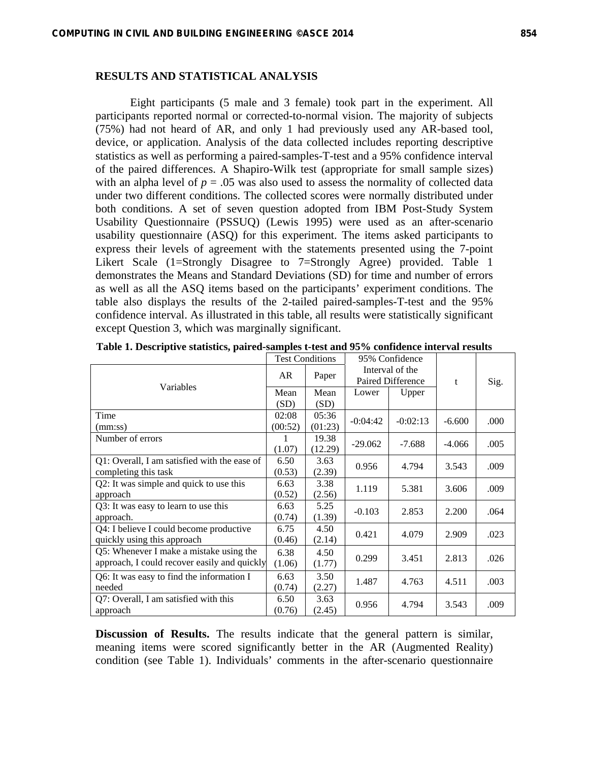## **RESULTS AND STATISTICAL ANALYSIS**

Eight participants (5 male and 3 female) took part in the experiment. All participants reported normal or corrected-to-normal vision. The majority of subjects (75%) had not heard of AR, and only 1 had previously used any AR-based tool, device, or application. Analysis of the data collected includes reporting descriptive statistics as well as performing a paired-samples-T-test and a 95% confidence interval of the paired differences. A Shapiro-Wilk test (appropriate for small sample sizes) with an alpha level of  $p = 0.05$  was also used to assess the normality of collected data under two different conditions. The collected scores were normally distributed under both conditions. A set of seven question adopted from IBM Post-Study System Usability Questionnaire (PSSUQ) (Lewis 1995) were used as an after-scenario usability questionnaire (ASQ) for this experiment. The items asked participants to express their levels of agreement with the statements presented using the 7-point Likert Scale (1=Strongly Disagree to 7=Strongly Agree) provided. Table 1 demonstrates the Means and Standard Deviations (SD) for time and number of errors as well as all the ASQ items based on the participants' experiment conditions. The table also displays the results of the 2-tailed paired-samples-T-test and the 95% confidence interval. As illustrated in this table, all results were statistically significant except Question 3, which was marginally significant.

|                                              | <b>Test Conditions</b> |         | 95% Confidence                       |            |          |      |
|----------------------------------------------|------------------------|---------|--------------------------------------|------------|----------|------|
| Variables                                    | AR.                    | Paper   | Interval of the<br>Paired Difference |            | t        | Sig. |
|                                              | Mean                   | Mean    | Lower                                | Upper      |          |      |
|                                              | (SD)                   | (SD)    |                                      |            |          |      |
| Time                                         | 02:08                  | 05:36   | $-0:04:42$                           | $-0:02:13$ | $-6.600$ | .000 |
| (mm:ss)                                      | (00:52)                | (01:23) |                                      |            |          |      |
| Number of errors                             | 1                      | 19.38   | $-29.062$                            | $-7.688$   | $-4.066$ | .005 |
|                                              | (1.07)                 | (12.29) |                                      |            |          |      |
| Q1: Overall, I am satisfied with the ease of | 6.50                   | 3.63    | 0.956                                | 4.794      | 3.543    | .009 |
| completing this task                         | (0.53)                 | (2.39)  |                                      |            |          |      |
| Q2: It was simple and quick to use this      | 6.63                   | 3.38    | 1.119                                | 5.381      | 3.606    | .009 |
| approach                                     | (0.52)                 | (2.56)  |                                      |            |          |      |
| Q3: It was easy to learn to use this         | 6.63                   | 5.25    | $-0.103$                             | 2.853      | 2.200    | .064 |
| approach.                                    | (0.74)                 | (1.39)  |                                      |            |          |      |
| Q4: I believe I could become productive      | 6.75                   | 4.50    | 0.421                                | 4.079      | 2.909    | .023 |
| quickly using this approach                  | (0.46)                 | (2.14)  |                                      |            |          |      |
| Q5: Whenever I make a mistake using the      | 6.38                   | 4.50    | 0.299                                | 3.451      | 2.813    | .026 |
| approach, I could recover easily and quickly | (1.06)                 | (1.77)  |                                      |            |          |      |
| Q6: It was easy to find the information I    | 6.63                   | 3.50    | 1.487                                | 4.763      | 4.511    | .003 |
| needed                                       | (0.74)                 | (2.27)  |                                      |            |          |      |
| Q7: Overall, I am satisfied with this        | 6.50                   | 3.63    | 0.956                                | 4.794      | 3.543    | .009 |
| approach                                     | (0.76)                 | (2.45)  |                                      |            |          |      |

**Table 1. Descriptive statistics, paired-samples t-test and 95% confidence interval results** 

**Discussion of Results.** The results indicate that the general pattern is similar, meaning items were scored significantly better in the AR (Augmented Reality) condition (see Table 1). Individuals' comments in the after-scenario questionnaire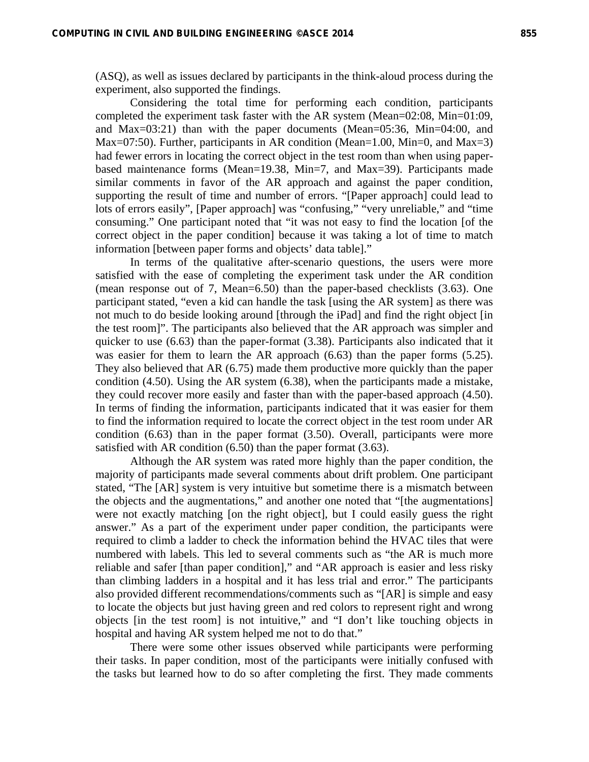(ASQ), as well as issues declared by participants in the think-aloud process during the experiment, also supported the findings.

Considering the total time for performing each condition, participants completed the experiment task faster with the AR system (Mean=02:08, Min=01:09, and Max=03:21) than with the paper documents (Mean=05:36, Min=04:00, and Max=07:50). Further, participants in AR condition (Mean=1.00, Min=0, and Max=3) had fewer errors in locating the correct object in the test room than when using paperbased maintenance forms (Mean=19.38, Min=7, and Max=39). Participants made similar comments in favor of the AR approach and against the paper condition, supporting the result of time and number of errors. "[Paper approach] could lead to lots of errors easily", [Paper approach] was "confusing," "very unreliable," and "time consuming." One participant noted that "it was not easy to find the location [of the correct object in the paper condition] because it was taking a lot of time to match information [between paper forms and objects' data table]."

In terms of the qualitative after-scenario questions, the users were more satisfied with the ease of completing the experiment task under the AR condition (mean response out of 7, Mean=6.50) than the paper-based checklists (3.63). One participant stated, "even a kid can handle the task [using the AR system] as there was not much to do beside looking around [through the iPad] and find the right object [in the test room]". The participants also believed that the AR approach was simpler and quicker to use (6.63) than the paper-format (3.38). Participants also indicated that it was easier for them to learn the AR approach (6.63) than the paper forms (5.25). They also believed that AR (6.75) made them productive more quickly than the paper condition (4.50). Using the AR system (6.38), when the participants made a mistake, they could recover more easily and faster than with the paper-based approach (4.50). In terms of finding the information, participants indicated that it was easier for them to find the information required to locate the correct object in the test room under AR condition (6.63) than in the paper format (3.50). Overall, participants were more satisfied with AR condition (6.50) than the paper format (3.63).

Although the AR system was rated more highly than the paper condition, the majority of participants made several comments about drift problem. One participant stated, "The [AR] system is very intuitive but sometime there is a mismatch between the objects and the augmentations," and another one noted that "[the augmentations] were not exactly matching [on the right object], but I could easily guess the right answer." As a part of the experiment under paper condition, the participants were required to climb a ladder to check the information behind the HVAC tiles that were numbered with labels. This led to several comments such as "the AR is much more reliable and safer [than paper condition]," and "AR approach is easier and less risky than climbing ladders in a hospital and it has less trial and error." The participants also provided different recommendations/comments such as "[AR] is simple and easy to locate the objects but just having green and red colors to represent right and wrong objects [in the test room] is not intuitive," and "I don't like touching objects in hospital and having AR system helped me not to do that."

There were some other issues observed while participants were performing their tasks. In paper condition, most of the participants were initially confused with the tasks but learned how to do so after completing the first. They made comments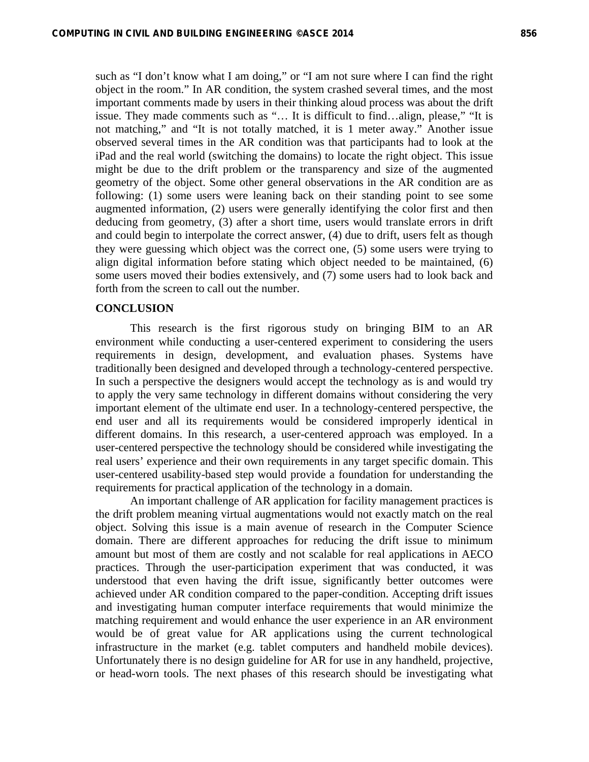such as "I don't know what I am doing," or "I am not sure where I can find the right object in the room." In AR condition, the system crashed several times, and the most important comments made by users in their thinking aloud process was about the drift issue. They made comments such as "… It is difficult to find…align, please," "It is not matching," and "It is not totally matched, it is 1 meter away." Another issue observed several times in the AR condition was that participants had to look at the iPad and the real world (switching the domains) to locate the right object. This issue might be due to the drift problem or the transparency and size of the augmented geometry of the object. Some other general observations in the AR condition are as following: (1) some users were leaning back on their standing point to see some augmented information, (2) users were generally identifying the color first and then deducing from geometry, (3) after a short time, users would translate errors in drift and could begin to interpolate the correct answer, (4) due to drift, users felt as though they were guessing which object was the correct one, (5) some users were trying to align digital information before stating which object needed to be maintained, (6) some users moved their bodies extensively, and (7) some users had to look back and forth from the screen to call out the number.

#### **CONCLUSION**

This research is the first rigorous study on bringing BIM to an AR environment while conducting a user-centered experiment to considering the users requirements in design, development, and evaluation phases. Systems have traditionally been designed and developed through a technology-centered perspective. In such a perspective the designers would accept the technology as is and would try to apply the very same technology in different domains without considering the very important element of the ultimate end user. In a technology-centered perspective, the end user and all its requirements would be considered improperly identical in different domains. In this research, a user-centered approach was employed. In a user-centered perspective the technology should be considered while investigating the real users' experience and their own requirements in any target specific domain. This user-centered usability-based step would provide a foundation for understanding the requirements for practical application of the technology in a domain.

An important challenge of AR application for facility management practices is the drift problem meaning virtual augmentations would not exactly match on the real object. Solving this issue is a main avenue of research in the Computer Science domain. There are different approaches for reducing the drift issue to minimum amount but most of them are costly and not scalable for real applications in AECO practices. Through the user-participation experiment that was conducted, it was understood that even having the drift issue, significantly better outcomes were achieved under AR condition compared to the paper-condition. Accepting drift issues and investigating human computer interface requirements that would minimize the matching requirement and would enhance the user experience in an AR environment would be of great value for AR applications using the current technological infrastructure in the market (e.g. tablet computers and handheld mobile devices). Unfortunately there is no design guideline for AR for use in any handheld, projective, or head-worn tools. The next phases of this research should be investigating what